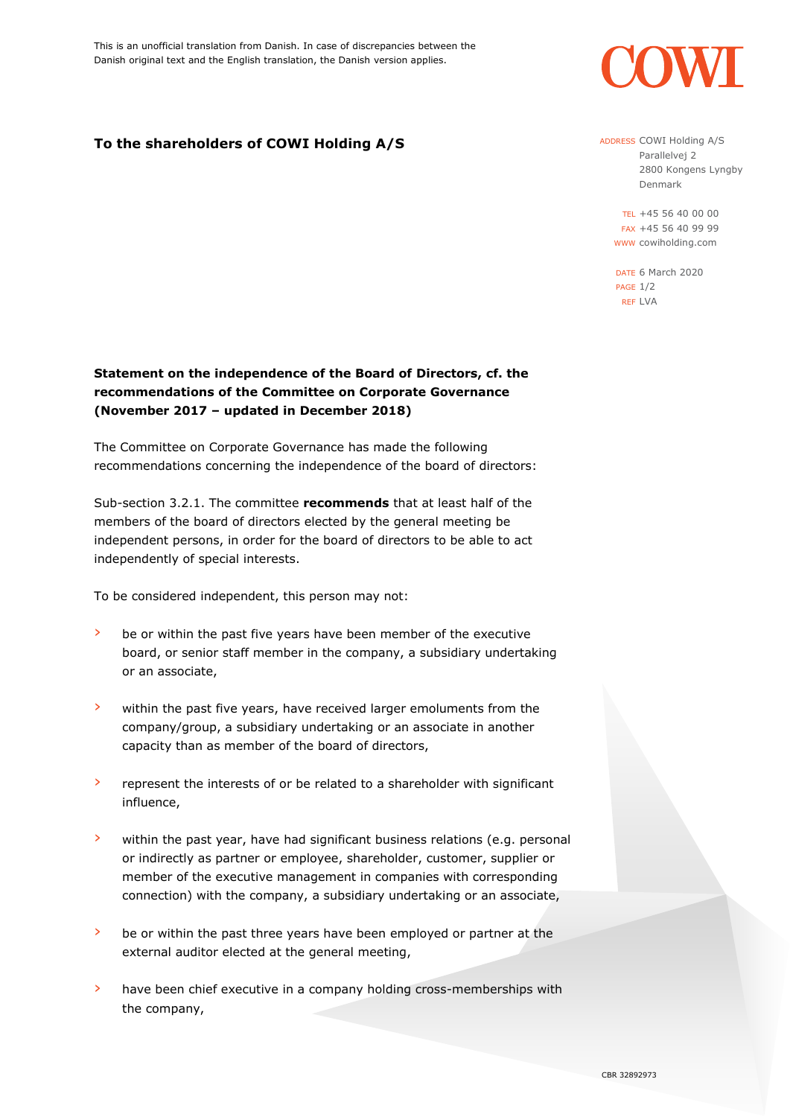

## **To the shareholders of COWI Holding A/S**

ADDRESS COWI Holding A/S Parallelvej 2 2800 Kongens Lyngby Denmark

TEL +45 56 40 00 00 FAX +45 56 40 99 99 WWW cowiholding.com

DATE 6 March 2020 PAGE 1/2 REF LVA

## **Statement on the independence of the Board of Directors, cf. the recommendations of the Committee on Corporate Governance (November 2017 – updated in December 2018)**

The Committee on Corporate Governance has made the following recommendations concerning the independence of the board of directors:

Sub-section 3.2.1. The committee **recommends** that at least half of the members of the board of directors elected by the general meeting be independent persons, in order for the board of directors to be able to act independently of special interests.

To be considered independent, this person may not:

- › be or within the past five years have been member of the executive board, or senior staff member in the company, a subsidiary undertaking or an associate,
- › within the past five years, have received larger emoluments from the company/group, a subsidiary undertaking or an associate in another capacity than as member of the board of directors,
- › represent the interests of or be related to a shareholder with significant influence,
- › within the past year, have had significant business relations (e.g. personal or indirectly as partner or employee, shareholder, customer, supplier or member of the executive management in companies with corresponding connection) with the company, a subsidiary undertaking or an associate,
- $\lambda$  be or within the past three years have been employed or partner at the external auditor elected at the general meeting,
- › have been chief executive in a company holding cross-memberships with the company,